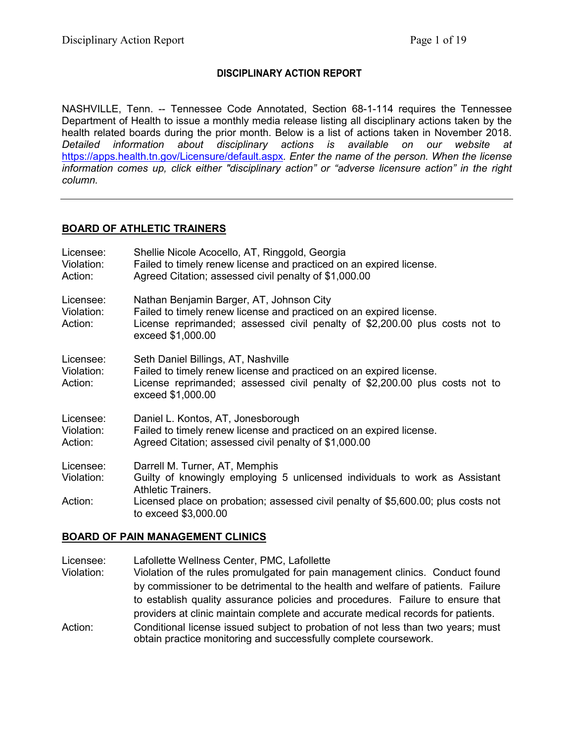## **DISCIPLINARY ACTION REPORT**

NASHVILLE, Tenn. -- Tennessee Code Annotated, Section 68-1-114 requires the Tennessee Department of Health to issue a monthly media release listing all disciplinary actions taken by the health related boards during the prior month. Below is a list of actions taken in November 2018. *Detailed information about disciplinary actions is available on our website at*  <https://apps.health.tn.gov/Licensure/default.aspx>*. Enter the name of the person. When the license information comes up, click either "disciplinary action" or "adverse licensure action" in the right column.*

## **BOARD OF ATHLETIC TRAINERS**

| Licensee:<br>Violation:<br>Action: | Shellie Nicole Acocello, AT, Ringgold, Georgia<br>Failed to timely renew license and practiced on an expired license.<br>Agreed Citation; assessed civil penalty of \$1,000.00                                      |
|------------------------------------|---------------------------------------------------------------------------------------------------------------------------------------------------------------------------------------------------------------------|
| Licensee:<br>Violation:<br>Action: | Nathan Benjamin Barger, AT, Johnson City<br>Failed to timely renew license and practiced on an expired license.<br>License reprimanded; assessed civil penalty of \$2,200.00 plus costs not to<br>exceed \$1,000.00 |
| Licensee:<br>Violation:<br>Action: | Seth Daniel Billings, AT, Nashville<br>Failed to timely renew license and practiced on an expired license.<br>License reprimanded; assessed civil penalty of \$2,200.00 plus costs not to<br>exceed \$1,000.00      |
| Licensee:<br>Violation:<br>Action: | Daniel L. Kontos, AT, Jonesborough<br>Failed to timely renew license and practiced on an expired license.<br>Agreed Citation; assessed civil penalty of \$1,000.00                                                  |
| Licensee:<br>Violation:            | Darrell M. Turner, AT, Memphis<br>Guilty of knowingly employing 5 unlicensed individuals to work as Assistant<br><b>Athletic Trainers.</b>                                                                          |
| Action:                            | Licensed place on probation; assessed civil penalty of \$5,600.00; plus costs not<br>to exceed \$3,000.00                                                                                                           |

### **BOARD OF PAIN MANAGEMENT CLINICS**

Licensee: Lafollette Wellness Center, PMC, Lafollette

- Violation: Violation of the rules promulgated for pain management clinics. Conduct found by commissioner to be detrimental to the health and welfare of patients. Failure to establish quality assurance policies and procedures. Failure to ensure that providers at clinic maintain complete and accurate medical records for patients.
- Action: Conditional license issued subject to probation of not less than two years; must obtain practice monitoring and successfully complete coursework.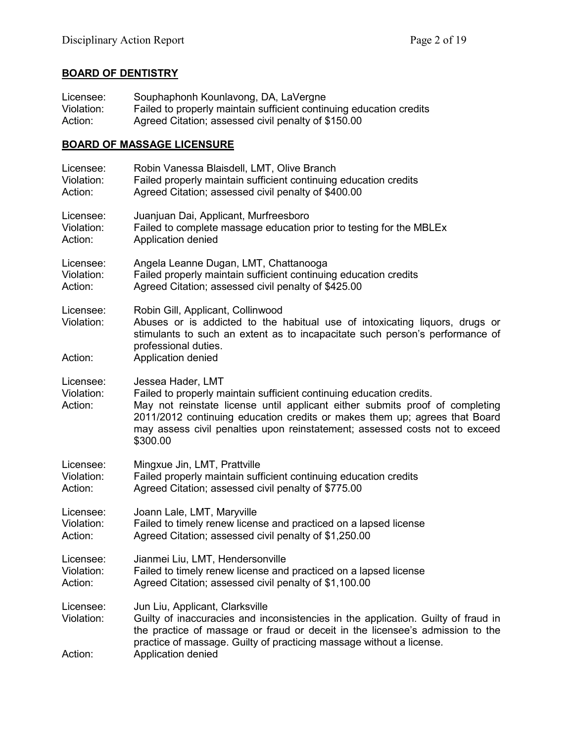## **BOARD OF DENTISTRY**

| Licensee:                          | Souphaphonh Kounlavong, DA, LaVergne                                                                                                                                                                                                                                                                                                               |
|------------------------------------|----------------------------------------------------------------------------------------------------------------------------------------------------------------------------------------------------------------------------------------------------------------------------------------------------------------------------------------------------|
| Violation:                         | Failed to properly maintain sufficient continuing education credits                                                                                                                                                                                                                                                                                |
| Action:                            | Agreed Citation; assessed civil penalty of \$150.00                                                                                                                                                                                                                                                                                                |
|                                    | <b>BOARD OF MASSAGE LICENSURE</b>                                                                                                                                                                                                                                                                                                                  |
| Licensee:                          | Robin Vanessa Blaisdell, LMT, Olive Branch                                                                                                                                                                                                                                                                                                         |
| Violation:                         | Failed properly maintain sufficient continuing education credits                                                                                                                                                                                                                                                                                   |
| Action:                            | Agreed Citation; assessed civil penalty of \$400.00                                                                                                                                                                                                                                                                                                |
| Licensee:                          | Juanjuan Dai, Applicant, Murfreesboro                                                                                                                                                                                                                                                                                                              |
| Violation:                         | Failed to complete massage education prior to testing for the MBLEx                                                                                                                                                                                                                                                                                |
| Action:                            | Application denied                                                                                                                                                                                                                                                                                                                                 |
| Licensee:                          | Angela Leanne Dugan, LMT, Chattanooga                                                                                                                                                                                                                                                                                                              |
| Violation:                         | Failed properly maintain sufficient continuing education credits                                                                                                                                                                                                                                                                                   |
| Action:                            | Agreed Citation; assessed civil penalty of \$425.00                                                                                                                                                                                                                                                                                                |
| Licensee:<br>Violation:<br>Action: | Robin Gill, Applicant, Collinwood<br>Abuses or is addicted to the habitual use of intoxicating liquors, drugs or<br>stimulants to such an extent as to incapacitate such person's performance of<br>professional duties.<br>Application denied                                                                                                     |
| Licensee:<br>Violation:<br>Action: | Jessea Hader, LMT<br>Failed to properly maintain sufficient continuing education credits.<br>May not reinstate license until applicant either submits proof of completing<br>2011/2012 continuing education credits or makes them up; agrees that Board<br>may assess civil penalties upon reinstatement; assessed costs not to exceed<br>\$300.00 |
| Licensee:                          | Mingxue Jin, LMT, Prattville                                                                                                                                                                                                                                                                                                                       |
| Violation:                         | Failed properly maintain sufficient continuing education credits                                                                                                                                                                                                                                                                                   |
| Action:                            | Agreed Citation; assessed civil penalty of \$775.00                                                                                                                                                                                                                                                                                                |
| Licensee:                          | Joann Lale, LMT, Maryville                                                                                                                                                                                                                                                                                                                         |
| Violation:                         | Failed to timely renew license and practiced on a lapsed license                                                                                                                                                                                                                                                                                   |
| Action:                            | Agreed Citation; assessed civil penalty of \$1,250.00                                                                                                                                                                                                                                                                                              |
| Licensee:                          | Jianmei Liu, LMT, Hendersonville                                                                                                                                                                                                                                                                                                                   |
| Violation:                         | Failed to timely renew license and practiced on a lapsed license                                                                                                                                                                                                                                                                                   |
| Action:                            | Agreed Citation; assessed civil penalty of \$1,100.00                                                                                                                                                                                                                                                                                              |
| Licensee:<br>Violation:<br>Action: | Jun Liu, Applicant, Clarksville<br>Guilty of inaccuracies and inconsistencies in the application. Guilty of fraud in<br>the practice of massage or fraud or deceit in the licensee's admission to the<br>practice of massage. Guilty of practicing massage without a license.<br>Application denied                                                |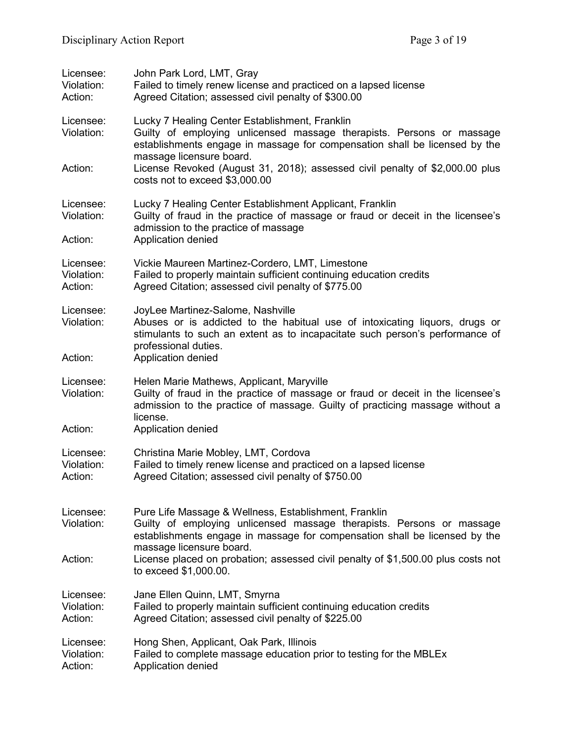| Licensee:<br>Violation:<br>Action: | John Park Lord, LMT, Gray<br>Failed to timely renew license and practiced on a lapsed license<br>Agreed Citation; assessed civil penalty of \$300.00                                                                                           |
|------------------------------------|------------------------------------------------------------------------------------------------------------------------------------------------------------------------------------------------------------------------------------------------|
| Licensee:<br>Violation:            | Lucky 7 Healing Center Establishment, Franklin<br>Guilty of employing unlicensed massage therapists. Persons or massage<br>establishments engage in massage for compensation shall be licensed by the<br>massage licensure board.              |
| Action:                            | License Revoked (August 31, 2018); assessed civil penalty of \$2,000.00 plus<br>costs not to exceed \$3,000.00                                                                                                                                 |
| Licensee:<br>Violation:            | Lucky 7 Healing Center Establishment Applicant, Franklin<br>Guilty of fraud in the practice of massage or fraud or deceit in the licensee's<br>admission to the practice of massage                                                            |
| Action:                            | Application denied                                                                                                                                                                                                                             |
| Licensee:<br>Violation:<br>Action: | Vickie Maureen Martinez-Cordero, LMT, Limestone<br>Failed to properly maintain sufficient continuing education credits<br>Agreed Citation; assessed civil penalty of \$775.00                                                                  |
| Licensee:<br>Violation:<br>Action: | JoyLee Martinez-Salome, Nashville<br>Abuses or is addicted to the habitual use of intoxicating liquors, drugs or<br>stimulants to such an extent as to incapacitate such person's performance of<br>professional duties.<br>Application denied |
|                                    |                                                                                                                                                                                                                                                |
| Licensee:<br>Violation:            | Helen Marie Mathews, Applicant, Maryville<br>Guilty of fraud in the practice of massage or fraud or deceit in the licensee's<br>admission to the practice of massage. Guilty of practicing massage without a<br>license.                       |
| Action:                            | Application denied                                                                                                                                                                                                                             |
| Licensee:<br>Violation:<br>Action: | Christina Marie Mobley, LMT, Cordova<br>Failed to timely renew license and practiced on a lapsed license<br>Agreed Citation; assessed civil penalty of \$750.00                                                                                |
| Licensee:<br>Violation:            | Pure Life Massage & Wellness, Establishment, Franklin<br>Guilty of employing unlicensed massage therapists. Persons or massage<br>establishments engage in massage for compensation shall be licensed by the<br>massage licensure board.       |
| Action:                            | License placed on probation; assessed civil penalty of \$1,500.00 plus costs not<br>to exceed \$1,000.00.                                                                                                                                      |
| Licensee:<br>Violation:<br>Action: | Jane Ellen Quinn, LMT, Smyrna<br>Failed to properly maintain sufficient continuing education credits<br>Agreed Citation; assessed civil penalty of \$225.00                                                                                    |
| Licensee:<br>Violation:<br>Action: | Hong Shen, Applicant, Oak Park, Illinois<br>Failed to complete massage education prior to testing for the MBLEx<br>Application denied                                                                                                          |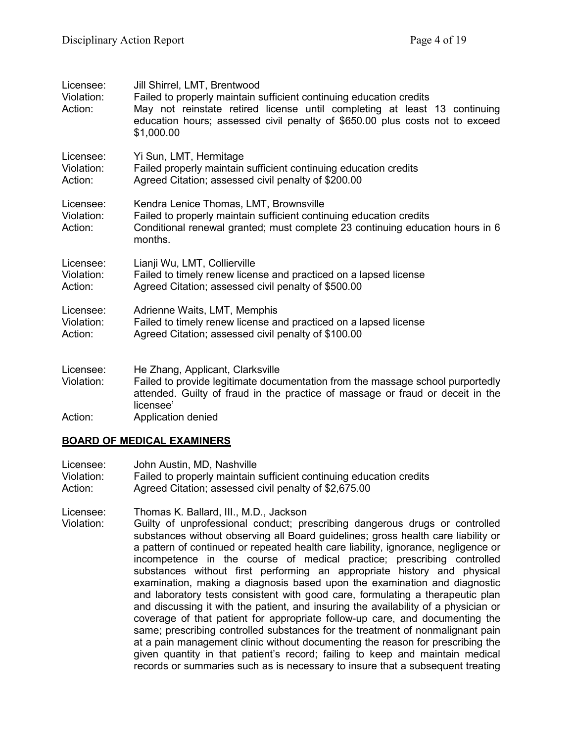| Licensee:<br>Violation:<br>Action: | Jill Shirrel, LMT, Brentwood<br>Failed to properly maintain sufficient continuing education credits<br>May not reinstate retired license until completing at least 13 continuing<br>education hours; assessed civil penalty of \$650.00 plus costs not to exceed<br>\$1,000.00 |
|------------------------------------|--------------------------------------------------------------------------------------------------------------------------------------------------------------------------------------------------------------------------------------------------------------------------------|
| Licensee:<br>Violation:<br>Action: | Yi Sun, LMT, Hermitage<br>Failed properly maintain sufficient continuing education credits<br>Agreed Citation; assessed civil penalty of \$200.00                                                                                                                              |
| Licensee:<br>Violation:<br>Action: | Kendra Lenice Thomas, LMT, Brownsville<br>Failed to properly maintain sufficient continuing education credits<br>Conditional renewal granted; must complete 23 continuing education hours in 6<br>months.                                                                      |
| Licensee:<br>Violation:<br>Action: | Lianji Wu, LMT, Collierville<br>Failed to timely renew license and practiced on a lapsed license<br>Agreed Citation; assessed civil penalty of \$500.00                                                                                                                        |
| Licensee:<br>Violation:<br>Action: | Adrienne Waits, LMT, Memphis<br>Failed to timely renew license and practiced on a lapsed license<br>Agreed Citation; assessed civil penalty of \$100.00                                                                                                                        |
| Licensee:<br>Violation:            | He Zhang, Applicant, Clarksville<br>Failed to provide legitimate documentation from the massage school purportedly<br>attended. Guilty of fraud in the practice of massage or fraud or deceit in the<br>licensee'                                                              |
| Action:                            | Application denied                                                                                                                                                                                                                                                             |

## **BOARD OF MEDICAL EXAMINERS**

| Licensee:  | John Austin, MD, Nashville                                          |
|------------|---------------------------------------------------------------------|
| Violation: | Failed to properly maintain sufficient continuing education credits |
| Action:    | Agreed Citation; assessed civil penalty of \$2,675.00               |

Licensee: Thomas K. Ballard, III., M.D., Jackson Guilty of unprofessional conduct; prescribing dangerous drugs or controlled substances without observing all Board guidelines; gross health care liability or a pattern of continued or repeated health care liability, ignorance, negligence or incompetence in the course of medical practice; prescribing controlled substances without first performing an appropriate history and physical examination, making a diagnosis based upon the examination and diagnostic and laboratory tests consistent with good care, formulating a therapeutic plan and discussing it with the patient, and insuring the availability of a physician or coverage of that patient for appropriate follow-up care, and documenting the same; prescribing controlled substances for the treatment of nonmalignant pain at a pain management clinic without documenting the reason for prescribing the given quantity in that patient's record; failing to keep and maintain medical records or summaries such as is necessary to insure that a subsequent treating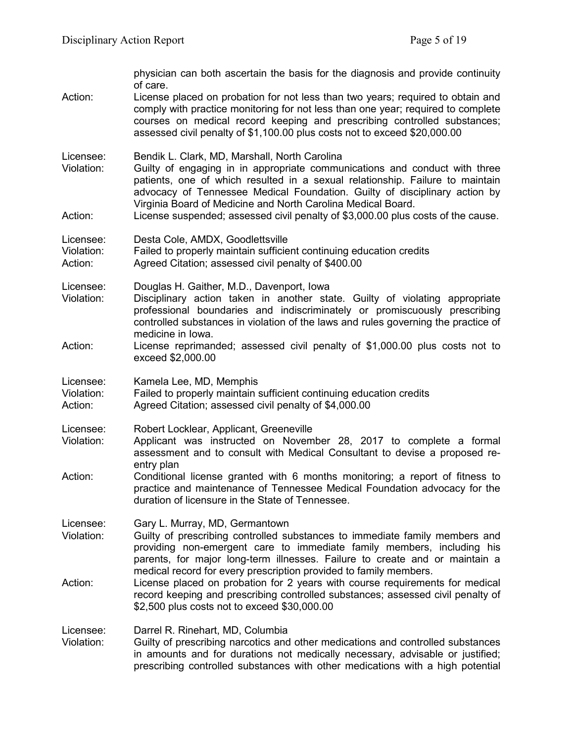| Action:                            | physician can both ascertain the basis for the diagnosis and provide continuity<br>of care.<br>License placed on probation for not less than two years; required to obtain and<br>comply with practice monitoring for not less than one year; required to complete<br>courses on medical record keeping and prescribing controlled substances;<br>assessed civil penalty of \$1,100.00 plus costs not to exceed \$20,000.00                    |
|------------------------------------|------------------------------------------------------------------------------------------------------------------------------------------------------------------------------------------------------------------------------------------------------------------------------------------------------------------------------------------------------------------------------------------------------------------------------------------------|
| Licensee:<br>Violation:<br>Action: | Bendik L. Clark, MD, Marshall, North Carolina<br>Guilty of engaging in in appropriate communications and conduct with three<br>patients, one of which resulted in a sexual relationship. Failure to maintain<br>advocacy of Tennessee Medical Foundation. Guilty of disciplinary action by<br>Virginia Board of Medicine and North Carolina Medical Board.<br>License suspended; assessed civil penalty of \$3,000.00 plus costs of the cause. |
| Licensee:<br>Violation:<br>Action: | Desta Cole, AMDX, Goodlettsville<br>Failed to properly maintain sufficient continuing education credits<br>Agreed Citation; assessed civil penalty of \$400.00                                                                                                                                                                                                                                                                                 |
| Licensee:<br>Violation:            | Douglas H. Gaither, M.D., Davenport, Iowa<br>Disciplinary action taken in another state. Guilty of violating appropriate<br>professional boundaries and indiscriminately or promiscuously prescribing<br>controlled substances in violation of the laws and rules governing the practice of<br>medicine in Iowa.                                                                                                                               |
| Action:                            | License reprimanded; assessed civil penalty of \$1,000.00 plus costs not to<br>exceed \$2,000.00                                                                                                                                                                                                                                                                                                                                               |
| Licensee:<br>Violation:<br>Action: | Kamela Lee, MD, Memphis<br>Failed to properly maintain sufficient continuing education credits<br>Agreed Citation; assessed civil penalty of \$4,000.00                                                                                                                                                                                                                                                                                        |
| Licensee:<br>Violation:            | Robert Locklear, Applicant, Greeneville<br>Applicant was instructed on November 28, 2017 to complete a formal<br>assessment and to consult with Medical Consultant to devise a proposed re-<br>entry plan                                                                                                                                                                                                                                      |
| Action:                            | Conditional license granted with 6 months monitoring; a report of fitness to<br>practice and maintenance of Tennessee Medical Foundation advocacy for the<br>duration of licensure in the State of Tennessee.                                                                                                                                                                                                                                  |
| Licensee:<br>Violation:            | Gary L. Murray, MD, Germantown<br>Guilty of prescribing controlled substances to immediate family members and<br>providing non-emergent care to immediate family members, including his<br>parents, for major long-term illnesses. Failure to create and or maintain a<br>medical record for every prescription provided to family members.                                                                                                    |
| Action:                            | License placed on probation for 2 years with course requirements for medical<br>record keeping and prescribing controlled substances; assessed civil penalty of<br>\$2,500 plus costs not to exceed \$30,000.00                                                                                                                                                                                                                                |
| Licensee:<br>Violation:            | Darrel R. Rinehart, MD, Columbia<br>Guilty of prescribing narcotics and other medications and controlled substances<br>in amounts and for durations not medically necessary, advisable or justified;<br>prescribing controlled substances with other medications with a high potential                                                                                                                                                         |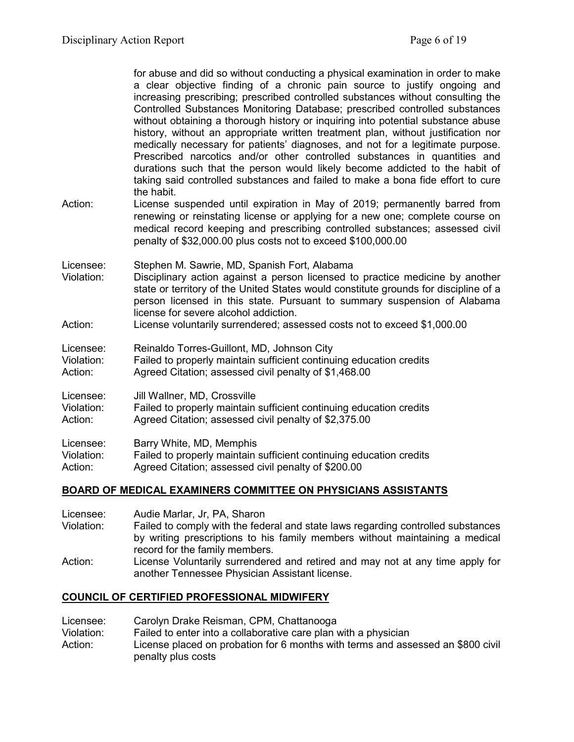for abuse and did so without conducting a physical examination in order to make a clear objective finding of a chronic pain source to justify ongoing and increasing prescribing; prescribed controlled substances without consulting the Controlled Substances Monitoring Database; prescribed controlled substances without obtaining a thorough history or inquiring into potential substance abuse history, without an appropriate written treatment plan, without justification nor medically necessary for patients' diagnoses, and not for a legitimate purpose. Prescribed narcotics and/or other controlled substances in quantities and durations such that the person would likely become addicted to the habit of taking said controlled substances and failed to make a bona fide effort to cure the habit.

Action: License suspended until expiration in May of 2019; permanently barred from renewing or reinstating license or applying for a new one; complete course on medical record keeping and prescribing controlled substances; assessed civil penalty of \$32,000.00 plus costs not to exceed \$100,000.00

Licensee: Stephen M. Sawrie, MD, Spanish Fort, Alabama

- Violation: Disciplinary action against a person licensed to practice medicine by another state or territory of the United States would constitute grounds for discipline of a person licensed in this state. Pursuant to summary suspension of Alabama license for severe alcohol addiction.
- Action: License voluntarily surrendered; assessed costs not to exceed \$1,000.00

| Licensee:  | Reinaldo Torres-Guillont, MD, Johnson City                          |
|------------|---------------------------------------------------------------------|
| Violation: | Failed to properly maintain sufficient continuing education credits |
| Action:    | Agreed Citation; assessed civil penalty of \$1,468.00               |

Licensee: Jill Wallner, MD, Crossville

Violation: Failed to properly maintain sufficient continuing education credits Action: Agreed Citation; assessed civil penalty of \$2,375.00

| Licensee: | Barry White, MD, Memphis |  |
|-----------|--------------------------|--|
|-----------|--------------------------|--|

Violation: Failed to properly maintain sufficient continuing education credits

Action: Agreed Citation; assessed civil penalty of \$200.00

### **BOARD OF MEDICAL EXAMINERS COMMITTEE ON PHYSICIANS ASSISTANTS**

Licensee: Audie Marlar, Jr, PA, Sharon Violation: Failed to comply with the federal and state laws regarding controlled substances by writing prescriptions to his family members without maintaining a medical record for the family members. Action: License Voluntarily surrendered and retired and may not at any time apply for another Tennessee Physician Assistant license.

### **COUNCIL OF CERTIFIED PROFESSIONAL MIDWIFERY**

Licensee: Carolyn Drake Reisman, CPM, Chattanooga Violation: Failed to enter into a collaborative care plan with a physician Action: License placed on probation for 6 months with terms and assessed an \$800 civil penalty plus costs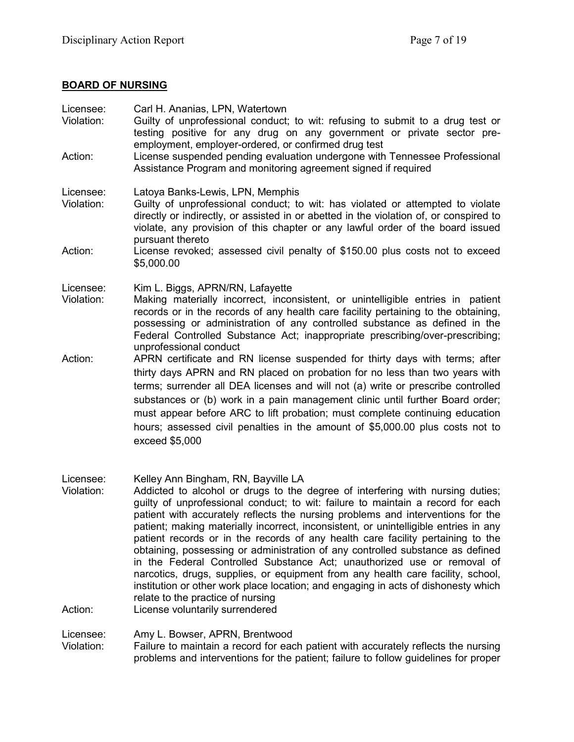## **BOARD OF NURSING**

| Carl H. Ananias, LPN, Watertown<br>Guilty of unprofessional conduct; to wit: refusing to submit to a drug test or<br>testing positive for any drug on any government or private sector pre-<br>employment, employer-ordered, or confirmed drug test<br>License suspended pending evaluation undergone with Tennessee Professional<br>Assistance Program and monitoring agreement signed if required                                                                                                                |
|--------------------------------------------------------------------------------------------------------------------------------------------------------------------------------------------------------------------------------------------------------------------------------------------------------------------------------------------------------------------------------------------------------------------------------------------------------------------------------------------------------------------|
| Latoya Banks-Lewis, LPN, Memphis<br>Guilty of unprofessional conduct; to wit: has violated or attempted to violate<br>directly or indirectly, or assisted in or abetted in the violation of, or conspired to<br>violate, any provision of this chapter or any lawful order of the board issued<br>pursuant thereto                                                                                                                                                                                                 |
| License revoked; assessed civil penalty of \$150.00 plus costs not to exceed<br>\$5,000.00                                                                                                                                                                                                                                                                                                                                                                                                                         |
| Kim L. Biggs, APRN/RN, Lafayette<br>Making materially incorrect, inconsistent, or unintelligible entries in patient<br>records or in the records of any health care facility pertaining to the obtaining,<br>possessing or administration of any controlled substance as defined in the<br>Federal Controlled Substance Act; inappropriate prescribing/over-prescribing;<br>unprofessional conduct                                                                                                                 |
| APRN certificate and RN license suspended for thirty days with terms; after<br>thirty days APRN and RN placed on probation for no less than two years with<br>terms; surrender all DEA licenses and will not (a) write or prescribe controlled<br>substances or (b) work in a pain management clinic until further Board order;<br>must appear before ARC to lift probation; must complete continuing education<br>hours; assessed civil penalties in the amount of \$5,000.00 plus costs not to<br>exceed \$5,000 |
|                                                                                                                                                                                                                                                                                                                                                                                                                                                                                                                    |

Licensee: Kelley Ann Bingham, RN, Bayville LA Violation: Addicted to alcohol or drugs to the degree of interfering with nursing duties; guilty of unprofessional conduct; to wit: failure to maintain a record for each patient with accurately reflects the nursing problems and interventions for the patient; making materially incorrect, inconsistent, or unintelligible entries in any patient records or in the records of any health care facility pertaining to the obtaining, possessing or administration of any controlled substance as defined in the Federal Controlled Substance Act; unauthorized use or removal of narcotics, drugs, supplies, or equipment from any health care facility, school, institution or other work place location; and engaging in acts of dishonesty which relate to the practice of nursing Action: License voluntarily surrendered

Licensee: Amy L. Bowser, APRN, Brentwood

Violation: Failure to maintain a record for each patient with accurately reflects the nursing problems and interventions for the patient; failure to follow guidelines for proper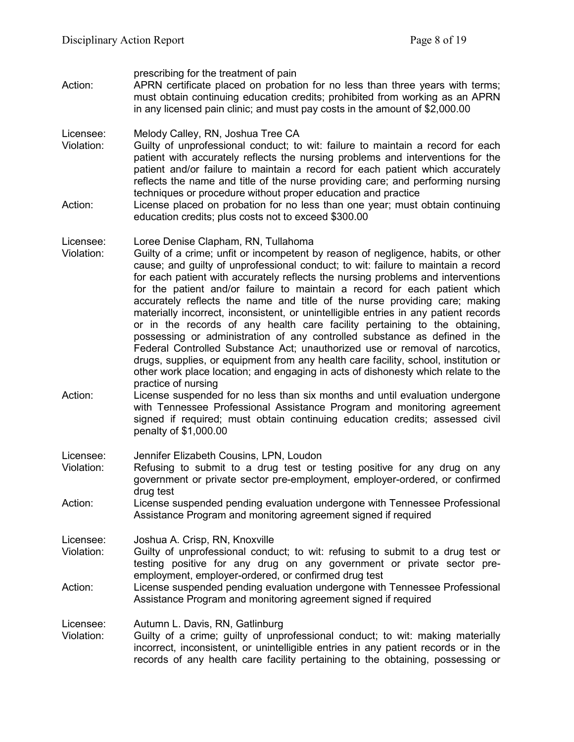prescribing for the treatment of pain Action: APRN certificate placed on probation for no less than three years with terms; must obtain continuing education credits; prohibited from working as an APRN in any licensed pain clinic; and must pay costs in the amount of \$2,000.00

Licensee: Melody Calley, RN, Joshua Tree CA<br>Violation: Guilty of unprofessional conduct: to

- Guilty of unprofessional conduct: to wit: failure to maintain a record for each patient with accurately reflects the nursing problems and interventions for the patient and/or failure to maintain a record for each patient which accurately reflects the name and title of the nurse providing care; and performing nursing techniques or procedure without proper education and practice
- Action: License placed on probation for no less than one year; must obtain continuing education credits; plus costs not to exceed \$300.00

#### Licensee: Loree Denise Clapham, RN, Tullahoma

- Violation: Guilty of a crime; unfit or incompetent by reason of negligence, habits, or other cause; and guilty of unprofessional conduct; to wit: failure to maintain a record for each patient with accurately reflects the nursing problems and interventions for the patient and/or failure to maintain a record for each patient which accurately reflects the name and title of the nurse providing care; making materially incorrect, inconsistent, or unintelligible entries in any patient records or in the records of any health care facility pertaining to the obtaining, possessing or administration of any controlled substance as defined in the Federal Controlled Substance Act; unauthorized use or removal of narcotics, drugs, supplies, or equipment from any health care facility, school, institution or other work place location; and engaging in acts of dishonesty which relate to the practice of nursing
- Action: License suspended for no less than six months and until evaluation undergone with Tennessee Professional Assistance Program and monitoring agreement signed if required; must obtain continuing education credits; assessed civil penalty of \$1,000.00

Licensee: Jennifer Elizabeth Cousins, LPN, Loudon

- Violation: Refusing to submit to a drug test or testing positive for any drug on any government or private sector pre-employment, employer-ordered, or confirmed drug test
- Action: License suspended pending evaluation undergone with Tennessee Professional Assistance Program and monitoring agreement signed if required

Licensee: Joshua A. Crisp, RN, Knoxville

- Violation: Guilty of unprofessional conduct; to wit: refusing to submit to a drug test or testing positive for any drug on any government or private sector preemployment, employer-ordered, or confirmed drug test
- Action: License suspended pending evaluation undergone with Tennessee Professional Assistance Program and monitoring agreement signed if required

Licensee: Autumn L. Davis, RN, Gatlinburg

Violation: Guilty of a crime; guilty of unprofessional conduct; to wit: making materially incorrect, inconsistent, or unintelligible entries in any patient records or in the records of any health care facility pertaining to the obtaining, possessing or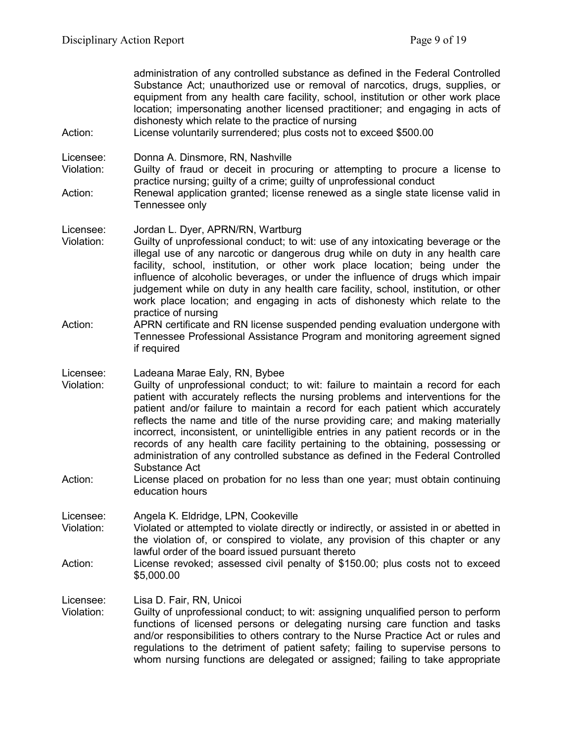administration of any controlled substance as defined in the Federal Controlled Substance Act; unauthorized use or removal of narcotics, drugs, supplies, or equipment from any health care facility, school, institution or other work place location; impersonating another licensed practitioner; and engaging in acts of dishonesty which relate to the practice of nursing

Action: License voluntarily surrendered; plus costs not to exceed \$500.00

Licensee: Donna A. Dinsmore, RN, Nashville

- Violation: Guilty of fraud or deceit in procuring or attempting to procure a license to practice nursing; guilty of a crime; guilty of unprofessional conduct
- Action: Renewal application granted; license renewed as a single state license valid in Tennessee only
- Licensee: Jordan L. Dyer, APRN/RN, Wartburg Violation: Guilty of unprofessional conduct; to wit: use of any intoxicating beverage or the illegal use of any narcotic or dangerous drug while on duty in any health care facility, school, institution, or other work place location; being under the influence of alcoholic beverages, or under the influence of drugs which impair judgement while on duty in any health care facility, school, institution, or other work place location; and engaging in acts of dishonesty which relate to the practice of nursing
- Action: APRN certificate and RN license suspended pending evaluation undergone with Tennessee Professional Assistance Program and monitoring agreement signed if required
- Licensee: Ladeana Marae Ealy, RN, Bybee
- Violation: Guilty of unprofessional conduct; to wit: failure to maintain a record for each patient with accurately reflects the nursing problems and interventions for the patient and/or failure to maintain a record for each patient which accurately reflects the name and title of the nurse providing care; and making materially incorrect, inconsistent, or unintelligible entries in any patient records or in the records of any health care facility pertaining to the obtaining, possessing or administration of any controlled substance as defined in the Federal Controlled Substance Act
- Action: License placed on probation for no less than one year; must obtain continuing education hours

Licensee: Angela K. Eldridge, LPN, Cookeville Violation: Violated or attempted to violate directly or indirectly, or assisted in or abetted in the violation of, or conspired to violate, any provision of this chapter or any lawful order of the board issued pursuant thereto

Action: License revoked; assessed civil penalty of \$150.00; plus costs not to exceed \$5,000.00

Licensee: Lisa D. Fair, RN, Unicoi

Violation: Guilty of unprofessional conduct; to wit: assigning unqualified person to perform functions of licensed persons or delegating nursing care function and tasks and/or responsibilities to others contrary to the Nurse Practice Act or rules and regulations to the detriment of patient safety; failing to supervise persons to whom nursing functions are delegated or assigned; failing to take appropriate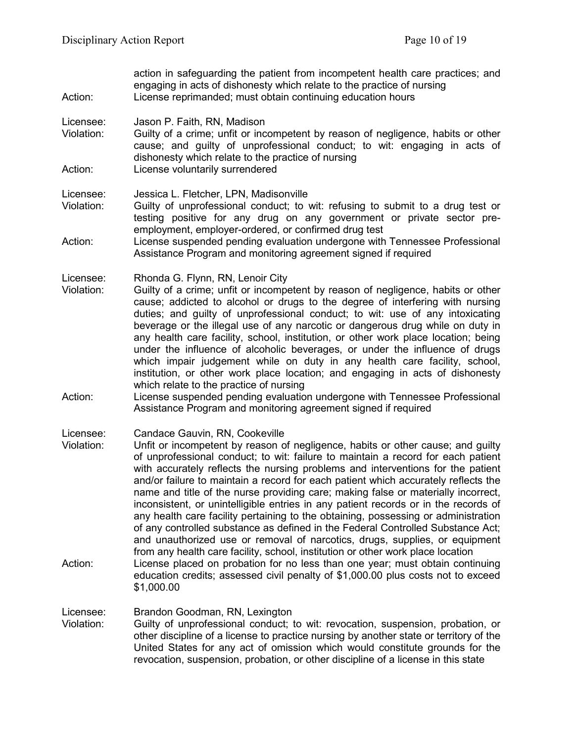action in safeguarding the patient from incompetent health care practices; and engaging in acts of dishonesty which relate to the practice of nursing Action: License reprimanded; must obtain continuing education hours Licensee: Jason P. Faith, RN, Madison Violation: Guilty of a crime; unfit or incompetent by reason of negligence, habits or other cause; and guilty of unprofessional conduct; to wit: engaging in acts of dishonesty which relate to the practice of nursing Action: License voluntarily surrendered Licensee: Jessica L. Fletcher, LPN, Madisonville Violation: Guilty of unprofessional conduct; to wit: refusing to submit to a drug test or testing positive for any drug on any government or private sector preemployment, employer-ordered, or confirmed drug test Action: License suspended pending evaluation undergone with Tennessee Professional Assistance Program and monitoring agreement signed if required Licensee: Rhonda G. Flynn, RN, Lenoir City Violation: Guilty of a crime; unfit or incompetent by reason of negligence, habits or other cause; addicted to alcohol or drugs to the degree of interfering with nursing duties; and guilty of unprofessional conduct; to wit: use of any intoxicating beverage or the illegal use of any narcotic or dangerous drug while on duty in any health care facility, school, institution, or other work place location; being under the influence of alcoholic beverages, or under the influence of drugs which impair judgement while on duty in any health care facility, school, institution, or other work place location; and engaging in acts of dishonesty which relate to the practice of nursing Action: License suspended pending evaluation undergone with Tennessee Professional Assistance Program and monitoring agreement signed if required Licensee: Candace Gauvin, RN, Cookeville Violation: Unfit or incompetent by reason of negligence, habits or other cause; and guilty of unprofessional conduct; to wit: failure to maintain a record for each patient with accurately reflects the nursing problems and interventions for the patient and/or failure to maintain a record for each patient which accurately reflects the name and title of the nurse providing care; making false or materially incorrect, inconsistent, or unintelligible entries in any patient records or in the records of any health care facility pertaining to the obtaining, possessing or administration of any controlled substance as defined in the Federal Controlled Substance Act; and unauthorized use or removal of narcotics, drugs, supplies, or equipment from any health care facility, school, institution or other work place location Action: License placed on probation for no less than one year; must obtain continuing education credits; assessed civil penalty of \$1,000.00 plus costs not to exceed

#### Licensee: Brandon Goodman, RN, Lexington Violation: Guilty of unprofessional conduct; to wit: revocation, suspension, probation, or other discipline of a license to practice nursing by another state or territory of the United States for any act of omission which would constitute grounds for the revocation, suspension, probation, or other discipline of a license in this state

\$1,000.00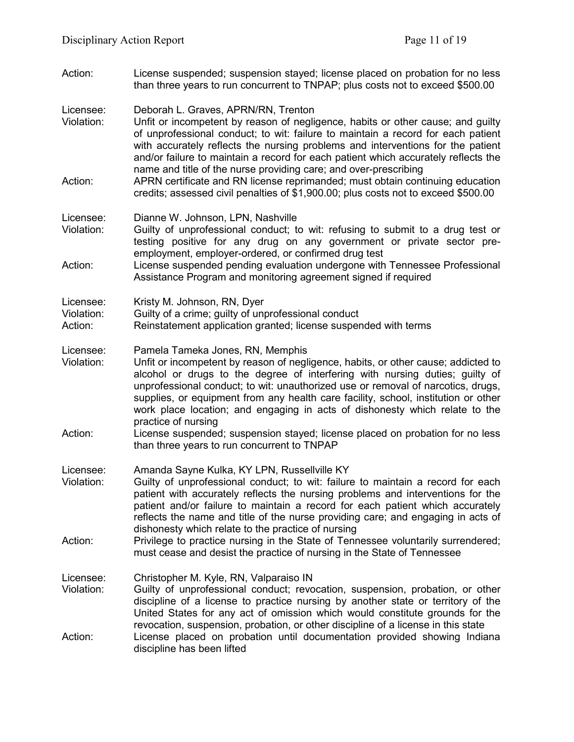Action: License suspended; suspension stayed; license placed on probation for no less than three years to run concurrent to TNPAP; plus costs not to exceed \$500.00

Licensee: Deborah L. Graves, APRN/RN, Trenton

- Violation: Unfit or incompetent by reason of negligence, habits or other cause; and guilty of unprofessional conduct; to wit: failure to maintain a record for each patient with accurately reflects the nursing problems and interventions for the patient and/or failure to maintain a record for each patient which accurately reflects the name and title of the nurse providing care; and over-prescribing
- Action: APRN certificate and RN license reprimanded; must obtain continuing education credits; assessed civil penalties of \$1,900.00; plus costs not to exceed \$500.00

Licensee: Dianne W. Johnson, LPN, Nashville

- Violation: Guilty of unprofessional conduct; to wit: refusing to submit to a drug test or testing positive for any drug on any government or private sector preemployment, employer-ordered, or confirmed drug test
- Action: License suspended pending evaluation undergone with Tennessee Professional Assistance Program and monitoring agreement signed if required

Licensee: Kristy M. Johnson, RN, Dyer

- Violation: Guilty of a crime; guilty of unprofessional conduct<br>Action: Reinstatement application granted: license susper
- Reinstatement application granted; license suspended with terms
- Licensee: Pamela Tameka Jones, RN, Memphis<br>Violation: Unfit or incompetent by reason of negl
- Unfit or incompetent by reason of negligence, habits, or other cause; addicted to alcohol or drugs to the degree of interfering with nursing duties; guilty of unprofessional conduct; to wit: unauthorized use or removal of narcotics, drugs, supplies, or equipment from any health care facility, school, institution or other work place location; and engaging in acts of dishonesty which relate to the practice of nursing
- Action: License suspended; suspension stayed; license placed on probation for no less than three years to run concurrent to TNPAP

Licensee: Amanda Sayne Kulka, KY LPN, Russellville KY

- Violation: Guilty of unprofessional conduct; to wit: failure to maintain a record for each patient with accurately reflects the nursing problems and interventions for the patient and/or failure to maintain a record for each patient which accurately reflects the name and title of the nurse providing care; and engaging in acts of dishonesty which relate to the practice of nursing
- Action: Privilege to practice nursing in the State of Tennessee voluntarily surrendered; must cease and desist the practice of nursing in the State of Tennessee

Licensee: Christopher M. Kyle, RN, Valparaiso IN

Violation: Guilty of unprofessional conduct; revocation, suspension, probation, or other discipline of a license to practice nursing by another state or territory of the United States for any act of omission which would constitute grounds for the revocation, suspension, probation, or other discipline of a license in this state Action: License placed on probation until documentation provided showing Indiana discipline has been lifted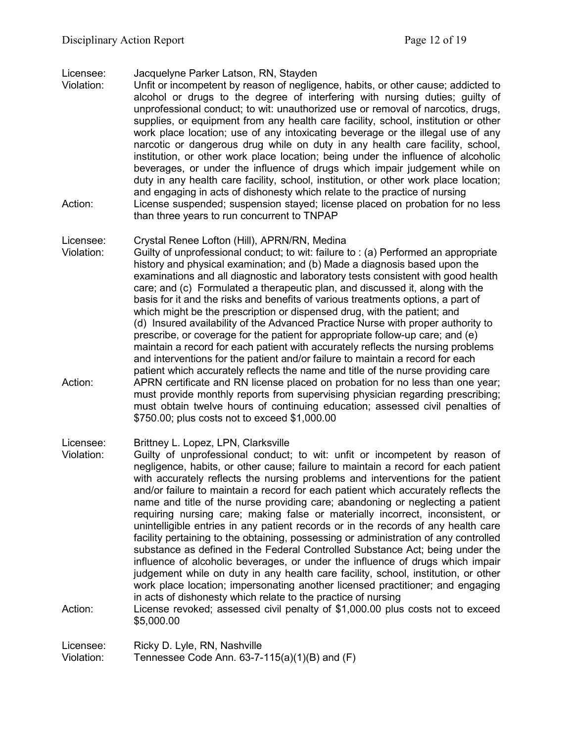## Licensee: Jacquelyne Parker Latson, RN, Stayden

Unfit or incompetent by reason of negligence, habits, or other cause; addicted to alcohol or drugs to the degree of interfering with nursing duties; guilty of unprofessional conduct; to wit: unauthorized use or removal of narcotics, drugs, supplies, or equipment from any health care facility, school, institution or other work place location; use of any intoxicating beverage or the illegal use of any narcotic or dangerous drug while on duty in any health care facility, school, institution, or other work place location; being under the influence of alcoholic beverages, or under the influence of drugs which impair judgement while on duty in any health care facility, school, institution, or other work place location; and engaging in acts of dishonesty which relate to the practice of nursing Action: License suspended; suspension stayed; license placed on probation for no less than three years to run concurrent to TNPAP

### Licensee: Crystal Renee Lofton (Hill), APRN/RN, Medina

Violation: Guilty of unprofessional conduct; to wit: failure to : (a) Performed an appropriate history and physical examination; and (b) Made a diagnosis based upon the examinations and all diagnostic and laboratory tests consistent with good health care; and (c) Formulated a therapeutic plan, and discussed it, along with the basis for it and the risks and benefits of various treatments options, a part of which might be the prescription or dispensed drug, with the patient; and (d) Insured availability of the Advanced Practice Nurse with proper authority to prescribe, or coverage for the patient for appropriate follow-up care; and (e) maintain a record for each patient with accurately reflects the nursing problems and interventions for the patient and/or failure to maintain a record for each patient which accurately reflects the name and title of the nurse providing care Action: APRN certificate and RN license placed on probation for no less than one year; must provide monthly reports from supervising physician regarding prescribing; must obtain twelve hours of continuing education; assessed civil penalties of \$750.00; plus costs not to exceed \$1,000.00

# Licensee: Brittney L. Lopez, LPN, Clarksville<br>Violation: Guilty of unprofessional conduct:

- Guilty of unprofessional conduct; to wit: unfit or incompetent by reason of negligence, habits, or other cause; failure to maintain a record for each patient with accurately reflects the nursing problems and interventions for the patient and/or failure to maintain a record for each patient which accurately reflects the name and title of the nurse providing care; abandoning or neglecting a patient requiring nursing care; making false or materially incorrect, inconsistent, or unintelligible entries in any patient records or in the records of any health care facility pertaining to the obtaining, possessing or administration of any controlled substance as defined in the Federal Controlled Substance Act; being under the influence of alcoholic beverages, or under the influence of drugs which impair judgement while on duty in any health care facility, school, institution, or other work place location; impersonating another licensed practitioner; and engaging in acts of dishonesty which relate to the practice of nursing
- Action: License revoked; assessed civil penalty of \$1,000.00 plus costs not to exceed \$5,000.00

Licensee: Ricky D. Lyle, RN, Nashville Violation: Tennessee Code Ann. 63-7-115(a)(1)(B) and (F)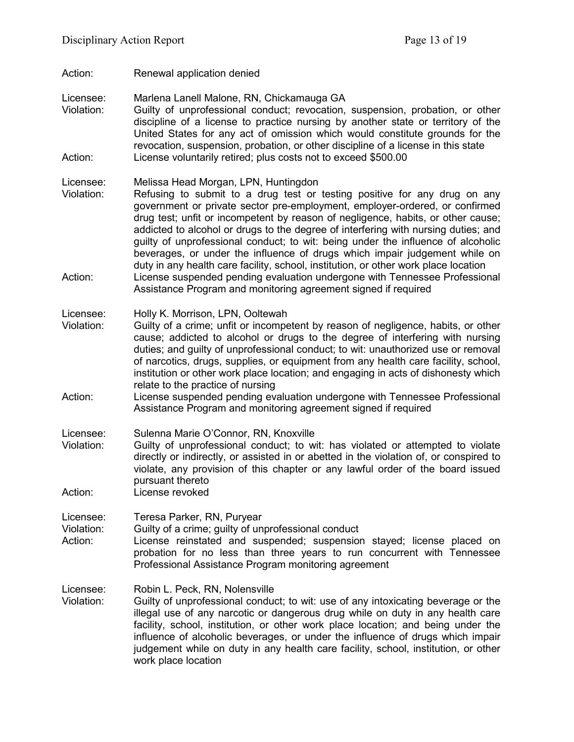- Action: Renewal application denied
- Licensee: Marlena Lanell Malone, RN, Chickamauga GA Violation: Guilty of unprofessional conduct; revocation, suspension, probation, or other discipline of a license to practice nursing by another state or territory of the United States for any act of omission which would constitute grounds for the revocation, suspension, probation, or other discipline of a license in this state
- Action: License voluntarily retired; plus costs not to exceed \$500.00
- Licensee: Melissa Head Morgan, LPN, Huntingdon
- Violation: Refusing to submit to a drug test or testing positive for any drug on any government or private sector pre-employment, employer-ordered, or confirmed drug test; unfit or incompetent by reason of negligence, habits, or other cause; addicted to alcohol or drugs to the degree of interfering with nursing duties; and guilty of unprofessional conduct; to wit: being under the influence of alcoholic beverages, or under the influence of drugs which impair judgement while on duty in any health care facility, school, institution, or other work place location Action: License suspended pending evaluation undergone with Tennessee Professional Assistance Program and monitoring agreement signed if required
- Licensee: Holly K. Morrison, LPN, Ooltewah<br>Violation: Guilty of a crime: unfit or incompe
- Guilty of a crime; unfit or incompetent by reason of negligence, habits, or other cause; addicted to alcohol or drugs to the degree of interfering with nursing duties; and guilty of unprofessional conduct; to wit: unauthorized use or removal of narcotics, drugs, supplies, or equipment from any health care facility, school, institution or other work place location; and engaging in acts of dishonesty which relate to the practice of nursing
- Action: License suspended pending evaluation undergone with Tennessee Professional Assistance Program and monitoring agreement signed if required
- Licensee: Sulenna Marie O'Connor, RN, Knoxville
- Violation: Guilty of unprofessional conduct; to wit: has violated or attempted to violate directly or indirectly, or assisted in or abetted in the violation of, or conspired to violate, any provision of this chapter or any lawful order of the board issued pursuant thereto Action: License revoked
- 
- Licensee: Teresa Parker, RN, Puryear
- Violation: Guilty of a crime; guilty of unprofessional conduct
- Action: License reinstated and suspended; suspension stayed; license placed on probation for no less than three years to run concurrent with Tennessee Professional Assistance Program monitoring agreement
- Licensee: Robin L. Peck, RN, Nolensville
- Violation: Guilty of unprofessional conduct; to wit: use of any intoxicating beverage or the illegal use of any narcotic or dangerous drug while on duty in any health care facility, school, institution, or other work place location; and being under the influence of alcoholic beverages, or under the influence of drugs which impair judgement while on duty in any health care facility, school, institution, or other work place location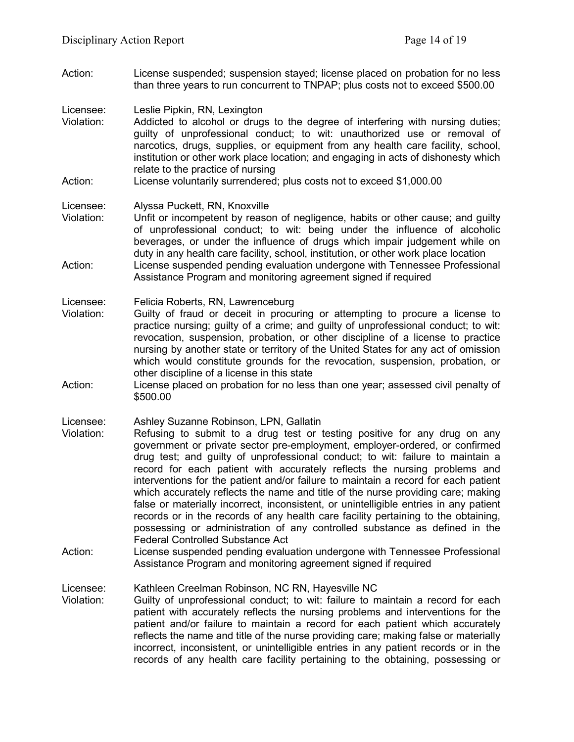Action: License suspended; suspension stayed; license placed on probation for no less than three years to run concurrent to TNPAP; plus costs not to exceed \$500.00

Licensee: Leslie Pipkin, RN, Lexington

- Violation: Addicted to alcohol or drugs to the degree of interfering with nursing duties; guilty of unprofessional conduct; to wit: unauthorized use or removal of narcotics, drugs, supplies, or equipment from any health care facility, school, institution or other work place location; and engaging in acts of dishonesty which relate to the practice of nursing
- Action: License voluntarily surrendered; plus costs not to exceed \$1,000.00

#### Licensee: Alyssa Puckett, RN, Knoxville

Violation: Unfit or incompetent by reason of negligence, habits or other cause; and guilty of unprofessional conduct; to wit: being under the influence of alcoholic beverages, or under the influence of drugs which impair judgement while on duty in any health care facility, school, institution, or other work place location Action: License suspended pending evaluation undergone with Tennessee Professional Assistance Program and monitoring agreement signed if required

#### Licensee: Felicia Roberts, RN, Lawrenceburg

- Violation: Guilty of fraud or deceit in procuring or attempting to procure a license to practice nursing; guilty of a crime; and guilty of unprofessional conduct; to wit: revocation, suspension, probation, or other discipline of a license to practice nursing by another state or territory of the United States for any act of omission which would constitute grounds for the revocation, suspension, probation, or other discipline of a license in this state
- Action: License placed on probation for no less than one year; assessed civil penalty of \$500.00

#### Licensee: Ashley Suzanne Robinson, LPN, Gallatin

- Violation: Refusing to submit to a drug test or testing positive for any drug on any government or private sector pre-employment, employer-ordered, or confirmed drug test; and guilty of unprofessional conduct; to wit: failure to maintain a record for each patient with accurately reflects the nursing problems and interventions for the patient and/or failure to maintain a record for each patient which accurately reflects the name and title of the nurse providing care; making false or materially incorrect, inconsistent, or unintelligible entries in any patient records or in the records of any health care facility pertaining to the obtaining, possessing or administration of any controlled substance as defined in the Federal Controlled Substance Act
- Action: License suspended pending evaluation undergone with Tennessee Professional Assistance Program and monitoring agreement signed if required

Licensee: Kathleen Creelman Robinson, NC RN, Hayesville NC

Violation: Guilty of unprofessional conduct; to wit: failure to maintain a record for each patient with accurately reflects the nursing problems and interventions for the patient and/or failure to maintain a record for each patient which accurately reflects the name and title of the nurse providing care; making false or materially incorrect, inconsistent, or unintelligible entries in any patient records or in the records of any health care facility pertaining to the obtaining, possessing or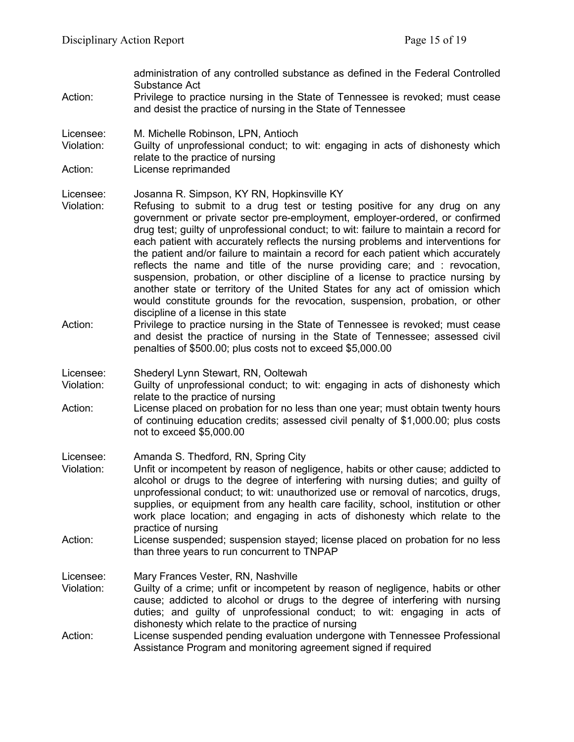|                         | administration of any controlled substance as defined in the Federal Controlled<br>Substance Act                                                                                                                                                                                                                                                                                                                                                                                                                                                                                                                                                                                                                                                                                                                                                   |
|-------------------------|----------------------------------------------------------------------------------------------------------------------------------------------------------------------------------------------------------------------------------------------------------------------------------------------------------------------------------------------------------------------------------------------------------------------------------------------------------------------------------------------------------------------------------------------------------------------------------------------------------------------------------------------------------------------------------------------------------------------------------------------------------------------------------------------------------------------------------------------------|
| Action:                 | Privilege to practice nursing in the State of Tennessee is revoked; must cease<br>and desist the practice of nursing in the State of Tennessee                                                                                                                                                                                                                                                                                                                                                                                                                                                                                                                                                                                                                                                                                                     |
| Licensee:<br>Violation: | M. Michelle Robinson, LPN, Antioch<br>Guilty of unprofessional conduct; to wit: engaging in acts of dishonesty which<br>relate to the practice of nursing                                                                                                                                                                                                                                                                                                                                                                                                                                                                                                                                                                                                                                                                                          |
| Action:                 | License reprimanded                                                                                                                                                                                                                                                                                                                                                                                                                                                                                                                                                                                                                                                                                                                                                                                                                                |
| Licensee:<br>Violation: | Josanna R. Simpson, KY RN, Hopkinsville KY<br>Refusing to submit to a drug test or testing positive for any drug on any<br>government or private sector pre-employment, employer-ordered, or confirmed<br>drug test; guilty of unprofessional conduct; to wit: failure to maintain a record for<br>each patient with accurately reflects the nursing problems and interventions for<br>the patient and/or failure to maintain a record for each patient which accurately<br>reflects the name and title of the nurse providing care; and : revocation,<br>suspension, probation, or other discipline of a license to practice nursing by<br>another state or territory of the United States for any act of omission which<br>would constitute grounds for the revocation, suspension, probation, or other<br>discipline of a license in this state |
| Action:                 | Privilege to practice nursing in the State of Tennessee is revoked; must cease<br>and desist the practice of nursing in the State of Tennessee; assessed civil<br>penalties of \$500.00; plus costs not to exceed \$5,000.00                                                                                                                                                                                                                                                                                                                                                                                                                                                                                                                                                                                                                       |
| Licensee:<br>Violation: | Shederyl Lynn Stewart, RN, Ooltewah<br>Guilty of unprofessional conduct; to wit: engaging in acts of dishonesty which<br>relate to the practice of nursing                                                                                                                                                                                                                                                                                                                                                                                                                                                                                                                                                                                                                                                                                         |
| Action:                 | License placed on probation for no less than one year; must obtain twenty hours<br>of continuing education credits; assessed civil penalty of \$1,000.00; plus costs<br>not to exceed \$5,000.00                                                                                                                                                                                                                                                                                                                                                                                                                                                                                                                                                                                                                                                   |
| Licensee:               | Amanda S. Thedford, RN, Spring City                                                                                                                                                                                                                                                                                                                                                                                                                                                                                                                                                                                                                                                                                                                                                                                                                |
| Violation:              | Unfit or incompetent by reason of negligence, habits or other cause; addicted to<br>alcohol or drugs to the degree of interfering with nursing duties; and guilty of<br>unprofessional conduct; to wit: unauthorized use or removal of narcotics, drugs,<br>supplies, or equipment from any health care facility, school, institution or other<br>work place location; and engaging in acts of dishonesty which relate to the<br>practice of nursing                                                                                                                                                                                                                                                                                                                                                                                               |
| Action:                 | License suspended; suspension stayed; license placed on probation for no less<br>than three years to run concurrent to TNPAP                                                                                                                                                                                                                                                                                                                                                                                                                                                                                                                                                                                                                                                                                                                       |
| Licensee:<br>Violation: | Mary Frances Vester, RN, Nashville<br>Guilty of a crime; unfit or incompetent by reason of negligence, habits or other<br>cause; addicted to alcohol or drugs to the degree of interfering with nursing<br>duties; and guilty of unprofessional conduct; to wit: engaging in acts of<br>dishonesty which relate to the practice of nursing                                                                                                                                                                                                                                                                                                                                                                                                                                                                                                         |
| Action:                 | License suspended pending evaluation undergone with Tennessee Professional<br>Assistance Program and monitoring agreement signed if required                                                                                                                                                                                                                                                                                                                                                                                                                                                                                                                                                                                                                                                                                                       |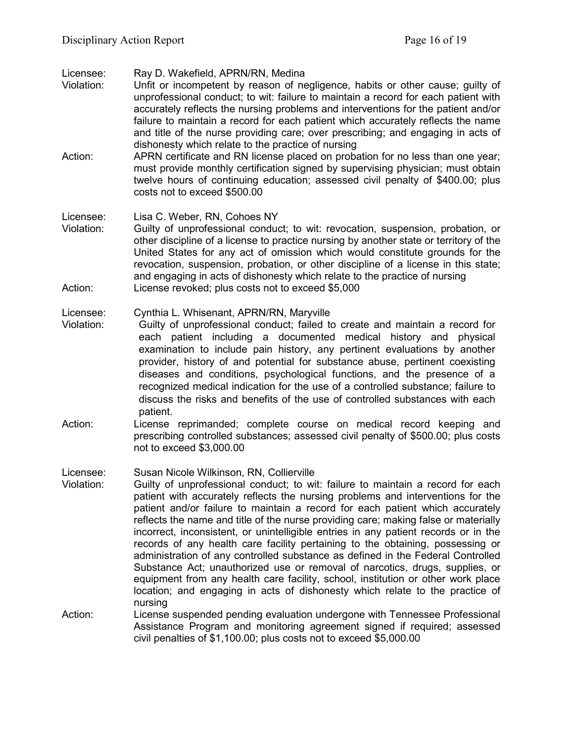Licensee: Ray D. Wakefield, APRN/RN, Medina

- Unfit or incompetent by reason of negligence, habits or other cause; guilty of unprofessional conduct; to wit: failure to maintain a record for each patient with accurately reflects the nursing problems and interventions for the patient and/or failure to maintain a record for each patient which accurately reflects the name and title of the nurse providing care; over prescribing; and engaging in acts of dishonesty which relate to the practice of nursing
- Action: APRN certificate and RN license placed on probation for no less than one year; must provide monthly certification signed by supervising physician; must obtain twelve hours of continuing education; assessed civil penalty of \$400.00; plus costs not to exceed \$500.00

Licensee: Lisa C. Weber, RN, Cohoes NY

Violation: Guilty of unprofessional conduct; to wit: revocation, suspension, probation, or other discipline of a license to practice nursing by another state or territory of the United States for any act of omission which would constitute grounds for the revocation, suspension, probation, or other discipline of a license in this state; and engaging in acts of dishonesty which relate to the practice of nursing Action: License revoked; plus costs not to exceed \$5,000

#### Licensee: Cynthia L. Whisenant, APRN/RN, Maryville

- Violation: Guilty of unprofessional conduct; failed to create and maintain a record for each patient including a documented medical history and physical examination to include pain history, any pertinent evaluations by another provider, history of and potential for substance abuse, pertinent coexisting diseases and conditions, psychological functions, and the presence of a recognized medical indication for the use of a controlled substance; failure to discuss the risks and benefits of the use of controlled substances with each patient.
- Action: License reprimanded; complete course on medical record keeping and prescribing controlled substances; assessed civil penalty of \$500.00; plus costs not to exceed \$3,000.00

Licensee: Susan Nicole Wilkinson, RN, Collierville

- Violation: Guilty of unprofessional conduct; to wit: failure to maintain a record for each patient with accurately reflects the nursing problems and interventions for the patient and/or failure to maintain a record for each patient which accurately reflects the name and title of the nurse providing care; making false or materially incorrect, inconsistent, or unintelligible entries in any patient records or in the records of any health care facility pertaining to the obtaining, possessing or administration of any controlled substance as defined in the Federal Controlled Substance Act; unauthorized use or removal of narcotics, drugs, supplies, or equipment from any health care facility, school, institution or other work place location; and engaging in acts of dishonesty which relate to the practice of nursing
- Action: License suspended pending evaluation undergone with Tennessee Professional Assistance Program and monitoring agreement signed if required; assessed civil penalties of \$1,100.00; plus costs not to exceed \$5,000.00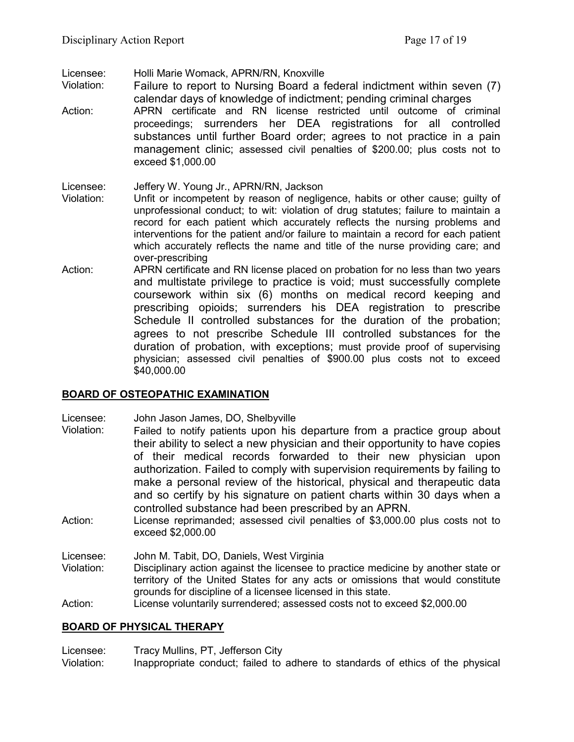Licensee: Holli Marie Womack, APRN/RN, Knoxville

Failure to report to Nursing Board a federal indictment within seven (7) calendar days of knowledge of indictment; pending criminal charges

Action: APRN certificate and RN license restricted until outcome of criminal proceedings; surrenders her DEA registrations for all controlled substances until further Board order; agrees to not practice in a pain management clinic; assessed civil penalties of \$200.00; plus costs not to exceed \$1,000.00

#### Licensee: Jeffery W. Young Jr., APRN/RN, Jackson

- Violation: Unfit or incompetent by reason of negligence, habits or other cause; guilty of unprofessional conduct; to wit: violation of drug statutes; failure to maintain a record for each patient which accurately reflects the nursing problems and interventions for the patient and/or failure to maintain a record for each patient which accurately reflects the name and title of the nurse providing care; and over-prescribing
- Action: APRN certificate and RN license placed on probation for no less than two years and multistate privilege to practice is void; must successfully complete coursework within six (6) months on medical record keeping and prescribing opioids; surrenders his DEA registration to prescribe Schedule II controlled substances for the duration of the probation; agrees to not prescribe Schedule III controlled substances for the duration of probation, with exceptions; must provide proof of supervising physician; assessed civil penalties of \$900.00 plus costs not to exceed \$40,000.00

### **BOARD OF OSTEOPATHIC EXAMINATION**

Licensee: John Jason James, DO, Shelbyville

- Violation: Failed to notify patients upon his departure from a practice group about their ability to select a new physician and their opportunity to have copies of their medical records forwarded to their new physician upon authorization. Failed to comply with supervision requirements by failing to make a personal review of the historical, physical and therapeutic data and so certify by his signature on patient charts within 30 days when a controlled substance had been prescribed by an APRN.
- Action: License reprimanded; assessed civil penalties of \$3,000.00 plus costs not to exceed \$2,000.00

Licensee: John M. Tabit, DO, Daniels, West Virginia Violation: Disciplinary action against the licensee to practice medicine by another state or territory of the United States for any acts or omissions that would constitute grounds for discipline of a licensee licensed in this state.

Action: License voluntarily surrendered; assessed costs not to exceed \$2,000.00

### **BOARD OF PHYSICAL THERAPY**

Licensee: Tracy Mullins, PT, Jefferson City Violation: Inappropriate conduct; failed to adhere to standards of ethics of the physical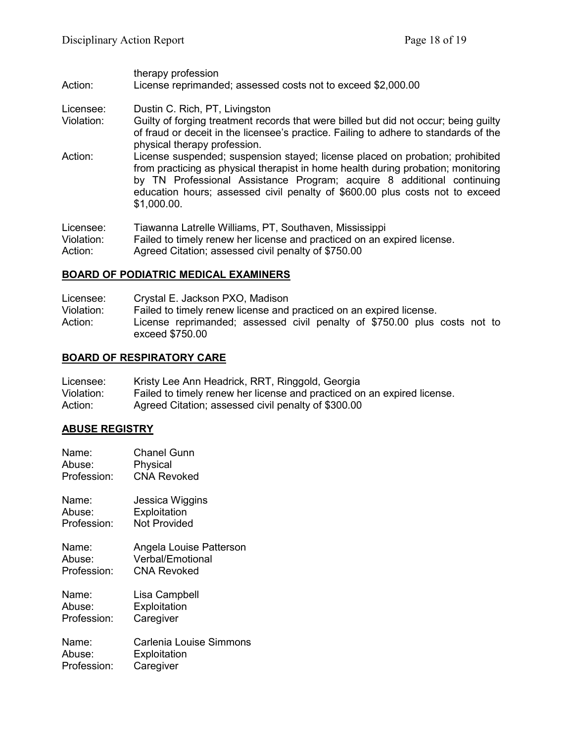#### therapy profession Action: License reprimanded; assessed costs not to exceed \$2,000.00

- Licensee: Dustin C. Rich, PT, Livingston
- Violation: Guilty of forging treatment records that were billed but did not occur; being guilty of fraud or deceit in the licensee's practice. Failing to adhere to standards of the physical therapy profession.
- Action: License suspended; suspension stayed; license placed on probation; prohibited from practicing as physical therapist in home health during probation; monitoring by TN Professional Assistance Program; acquire 8 additional continuing education hours; assessed civil penalty of \$600.00 plus costs not to exceed \$1,000.00.

| Licensee:  | Tiawanna Latrelle Williams, PT, Southaven, Mississippi                  |
|------------|-------------------------------------------------------------------------|
| Violation: | Failed to timely renew her license and practiced on an expired license. |
| Action:    | Agreed Citation; assessed civil penalty of \$750.00                     |

## **BOARD OF PODIATRIC MEDICAL EXAMINERS**

| Licensee:  | Crystal E. Jackson PXO, Madison                                                              |
|------------|----------------------------------------------------------------------------------------------|
| Violation: | Failed to timely renew license and practiced on an expired license.                          |
| Action:    | License reprimanded; assessed civil penalty of \$750.00 plus costs not to<br>exceed \$750.00 |

### **BOARD OF RESPIRATORY CARE**

| Licensee:  | Kristy Lee Ann Headrick, RRT, Ringgold, Georgia                         |
|------------|-------------------------------------------------------------------------|
| Violation: | Failed to timely renew her license and practiced on an expired license. |
| Action:    | Agreed Citation; assessed civil penalty of \$300.00                     |

### **ABUSE REGISTRY**

| Name:       | <b>Chanel Gunn</b>      |
|-------------|-------------------------|
| Abuse:      | Physical                |
| Profession: | <b>CNA Revoked</b>      |
| Name:       | Jessica Wiggins         |
| Abuse:      | Exploitation            |
| Profession: | <b>Not Provided</b>     |
| Name:       | Angela Louise Patterson |
| Abuse:      | <b>Verbal/Emotional</b> |
| Profession: | CNA Revoked             |
| Name:       | Lisa Campbell           |
| Abuse:      | Exploitation            |
| Profession: | Caregiver               |
| Name:       | Carlenia Louise Simmons |
| Abuse:      | Exploitation            |
| Profession: | Caregiver               |